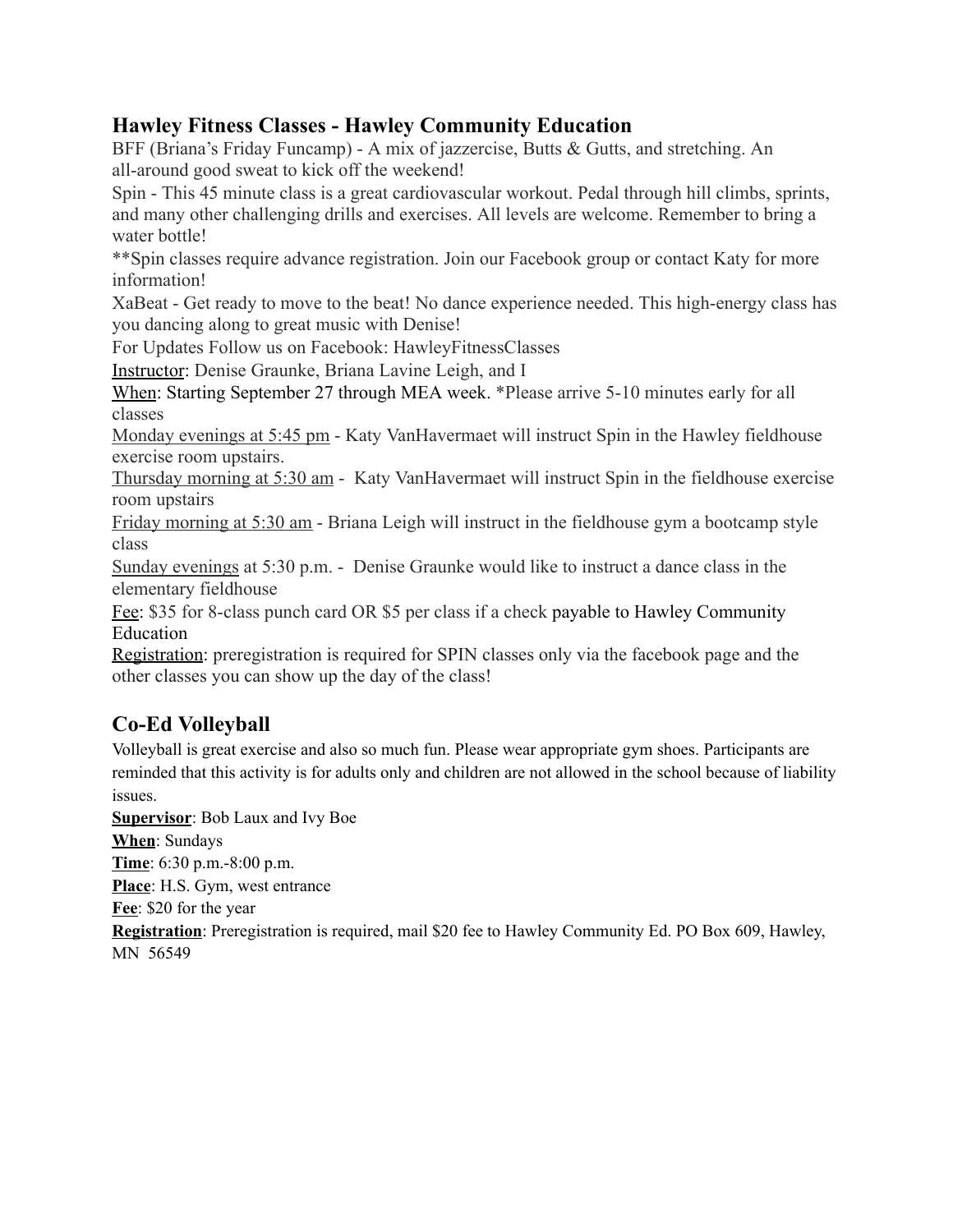# **Hawley Fitness Classes - Hawley Community Education**

BFF (Briana's Friday Funcamp) - A mix of jazzercise, Butts & Gutts, and stretching. An all-around good sweat to kick off the weekend!

Spin - This 45 minute class is a great cardiovascular workout. Pedal through hill climbs, sprints, and many other challenging drills and exercises. All levels are welcome. Remember to bring a water bottle!

\*\*Spin classes require advance registration. Join our Facebook group or contact Katy for more information!

XaBeat - Get ready to move to the beat! No dance experience needed. This high-energy class has you dancing along to great music with Denise!

For Updates Follow us on Facebook: HawleyFitnessClasses

Instructor: Denise Graunke, Briana Lavine Leigh, and I

When: Starting September 27 through MEA week. \*Please arrive 5-10 minutes early for all classes

Monday evenings at 5:45 pm - Katy VanHavermaet will instruct Spin in the Hawley fieldhouse exercise room upstairs.

Thursday morning at 5:30 am - Katy VanHavermaet will instruct Spin in the fieldhouse exercise room upstairs

Friday morning at 5:30 am - Briana Leigh will instruct in the fieldhouse gym a bootcamp style class

Sunday evenings at 5:30 p.m. - Denise Graunke would like to instruct a dance class in the elementary fieldhouse

Fee: \$35 for 8-class punch card OR \$5 per class if a check payable to Hawley Community Education

Registration: preregistration is required for SPIN classes only via the facebook page and the other classes you can show up the day of the class!

# **Co-Ed Volleyball**

Volleyball is great exercise and also so much fun. Please wear appropriate gym shoes. Participants are reminded that this activity is for adults only and children are not allowed in the school because of liability issues.

**Supervisor**: Bob Laux and Ivy Boe **When**: Sundays **Time**: 6:30 p.m.-8:00 p.m. **Place**: H.S. Gym, west entrance **Fee**: \$20 for the year **Registration**: Preregistration is required, mail \$20 fee to Hawley Community Ed. PO Box 609, Hawley, MN 56549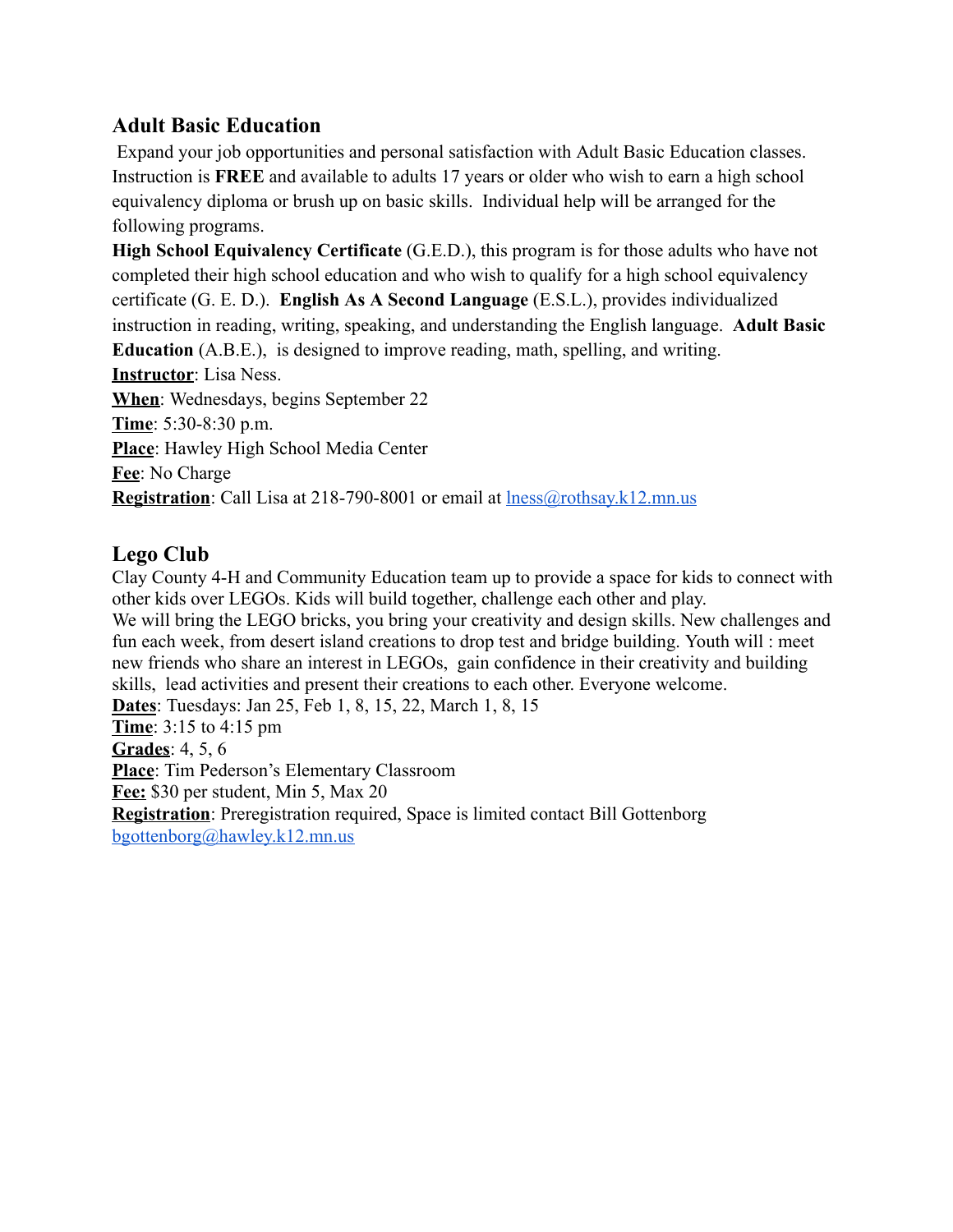# **Adult Basic Education**

Expand your job opportunities and personal satisfaction with Adult Basic Education classes. Instruction is **FREE** and available to adults 17 years or older who wish to earn a high school equivalency diploma or brush up on basic skills. Individual help will be arranged for the following programs.

**High School Equivalency Certificate** (G.E.D.), this program is for those adults who have not completed their high school education and who wish to qualify for a high school equivalency certificate (G. E. D.). **English As A Second Language** (E.S.L.), provides individualized instruction in reading, writing, speaking, and understanding the English language. **Adult Basic Education** (A.B.E.), is designed to improve reading, math, spelling, and writing. **Instructor**: Lisa Ness. **When**: Wednesdays, begins September 22 **Time**: 5:30-8:30 p.m. **Place**: Hawley High School Media Center **Fee**: No Charge **Registration**: Call Lisa at 218-790-8001 or email at [lness@rothsay.k12.mn.us](mailto:lness@rothsay.k12.mn.us)

# **Lego Club**

Clay County 4-H and Community Education team up to provide a space for kids to connect with other kids over LEGOs. Kids will build together, challenge each other and play. We will bring the LEGO bricks, you bring your creativity and design skills. New challenges and fun each week, from desert island creations to drop test and bridge building. Youth will : meet new friends who share an interest in LEGOs, gain confidence in their creativity and building skills, lead activities and present their creations to each other. Everyone welcome. **Dates**: Tuesdays: Jan 25, Feb 1, 8, 15, 22, March 1, 8, 15 **Time**: 3:15 to 4:15 pm **Grades**: 4, 5, 6 **Place**: Tim Pederson's Elementary Classroom **Fee:** \$30 per student, Min 5, Max 20 **Registration**: Preregistration required, Space is limited contact Bill Gottenborg [bgottenborg@hawley.k12.mn.us](mailto:bgottenborg@hawley.k12.mn.us)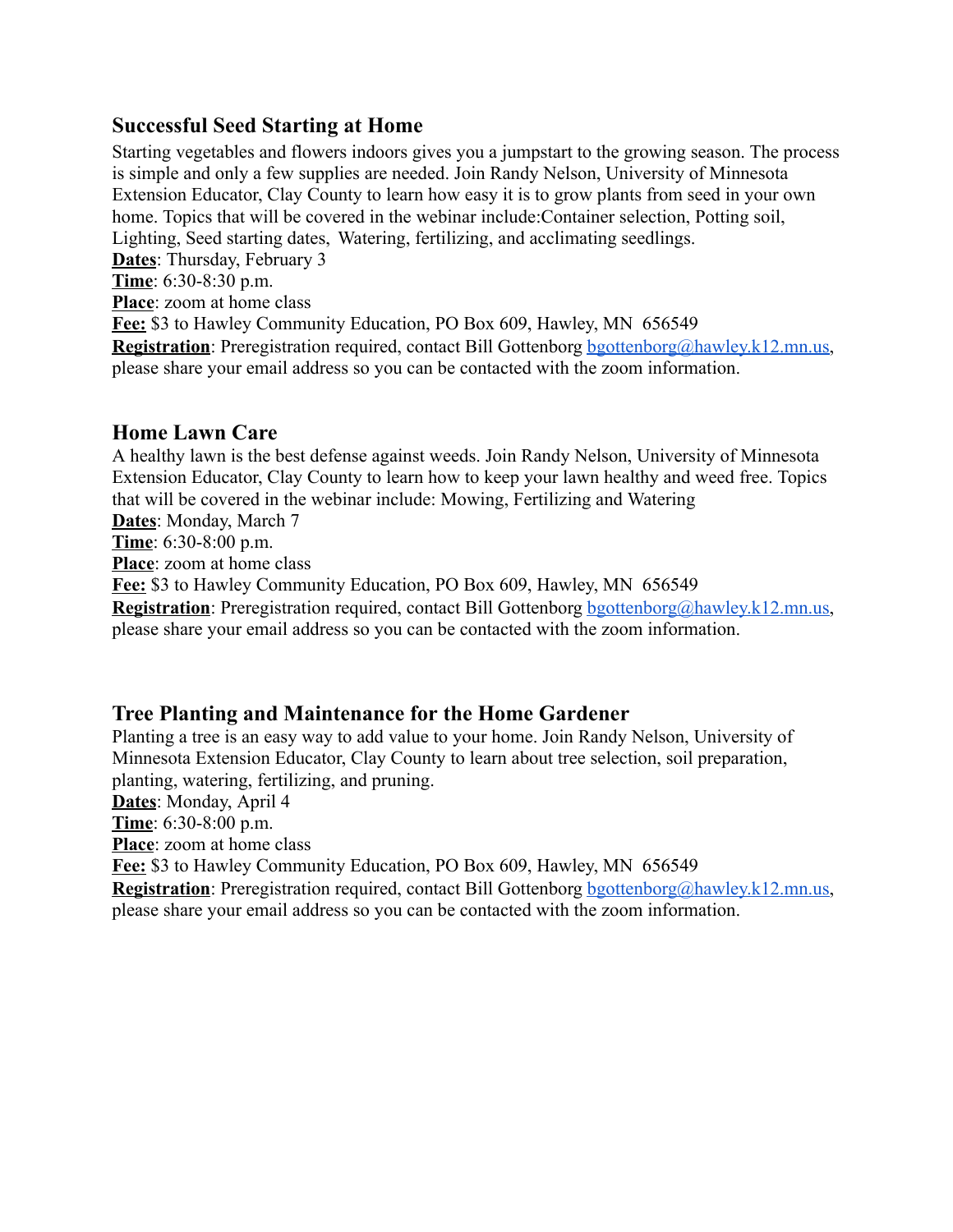## **Successful Seed Starting at Home**

Starting vegetables and flowers indoors gives you a jumpstart to the growing season. The process is simple and only a few supplies are needed. Join Randy Nelson, University of Minnesota Extension Educator, Clay County to learn how easy it is to grow plants from seed in your own home. Topics that will be covered in the webinar include:Container selection, Potting soil, Lighting, Seed starting dates, Watering, fertilizing, and acclimating seedlings. **Dates**: Thursday, February 3 **Time**: 6:30-8:30 p.m. **Place**: zoom at home class **Fee:** \$3 to Hawley Community Education, PO Box 609, Hawley, MN 656549 **Registration**: Preregistration required, contact Bill Gottenborg [bgottenborg@hawley.k12.mn.us](mailto:bgottenborg@hawley.k12.mn.us), please share your email address so you can be contacted with the zoom information.

### **Home Lawn Care**

A healthy lawn is the best defense against weeds. Join Randy Nelson, University of Minnesota Extension Educator, Clay County to learn how to keep your lawn healthy and weed free. Topics that will be covered in the webinar include: Mowing, Fertilizing and Watering **Dates**: Monday, March 7

**Time**: 6:30-8:00 p.m.

**Place**: zoom at home class

**Fee:** \$3 to Hawley Community Education, PO Box 609, Hawley, MN 656549

**Registration**: Preregistration required, contact Bill Gottenborg [bgottenborg@hawley.k12.mn.us](mailto:bgottenborg@hawley.k12.mn.us), please share your email address so you can be contacted with the zoom information.

### **Tree Planting and Maintenance for the Home Gardener**

Planting a tree is an easy way to add value to your home. Join Randy Nelson, University of Minnesota Extension Educator, Clay County to learn about tree selection, soil preparation, planting, watering, fertilizing, and pruning.

**Dates**: Monday, April 4

**Time**: 6:30-8:00 p.m.

**Place**: zoom at home class

**Fee:** \$3 to Hawley Community Education, PO Box 609, Hawley, MN 656549

**Registration**: Preregistration required, contact Bill Gottenborg [bgottenborg@hawley.k12.mn.us](mailto:bgottenborg@hawley.k12.mn.us), please share your email address so you can be contacted with the zoom information.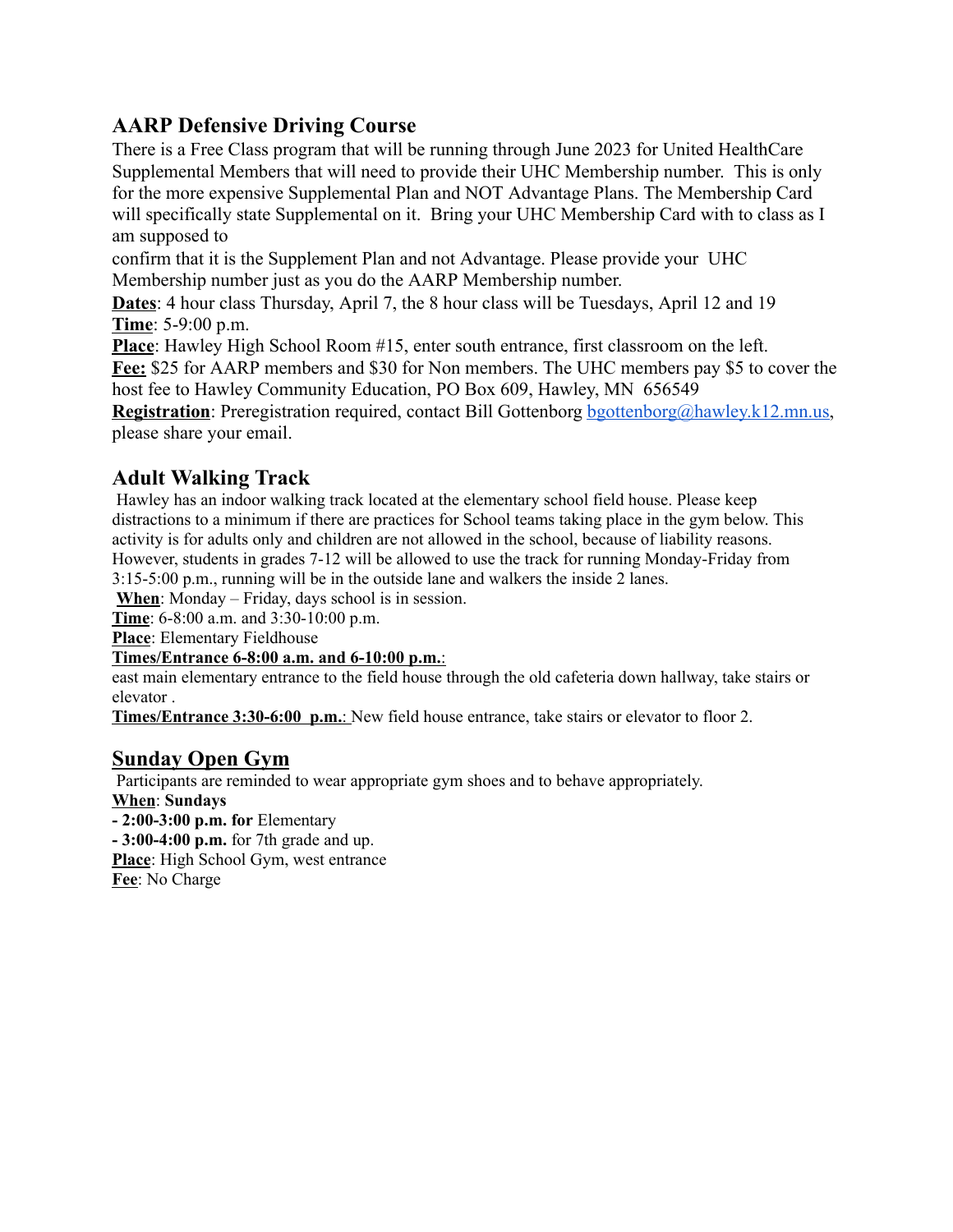# **AARP Defensive Driving Course**

There is a Free Class program that will be running through June 2023 for United HealthCare Supplemental Members that will need to provide their UHC Membership number. This is only for the more expensive Supplemental Plan and NOT Advantage Plans. The Membership Card will specifically state Supplemental on it. Bring your UHC Membership Card with to class as I am supposed to

confirm that it is the Supplement Plan and not Advantage. Please provide your UHC Membership number just as you do the AARP Membership number.

**Dates**: 4 hour class Thursday, April 7, the 8 hour class will be Tuesdays, April 12 and 19 **Time**: 5-9:00 p.m.

**Place**: Hawley High School Room #15, enter south entrance, first classroom on the left.

**Fee:** \$25 for AARP members and \$30 for Non members. The UHC members pay \$5 to cover the host fee to Hawley Community Education, PO Box 609, Hawley, MN 656549

**Registration**: Preregistration required, contact Bill Gottenborg [bgottenborg@hawley.k12.mn.us](mailto:bgottenborg@hawley.k12.mn.us), please share your email.

# **Adult Walking Track**

Hawley has an indoor walking track located at the elementary school field house. Please keep distractions to a minimum if there are practices for School teams taking place in the gym below. This activity is for adults only and children are not allowed in the school, because of liability reasons. However, students in grades 7-12 will be allowed to use the track for running Monday-Friday from 3:15-5:00 p.m., running will be in the outside lane and walkers the inside 2 lanes.

**When**: Monday – Friday, days school is in session.

**Time**: 6-8:00 a.m. and 3:30-10:00 p.m.

**Place**: Elementary Fieldhouse

#### **Times/Entrance 6-8:00 a.m. and 6-10:00 p.m.**:

east main elementary entrance to the field house through the old cafeteria down hallway, take stairs or elevator .

**Times/Entrance 3:30-6:00 p.m.**: New field house entrance, take stairs or elevator to floor 2.

### **Sunday Open Gym**

Participants are reminded to wear appropriate gym shoes and to behave appropriately. **When**: **Sundays - 2:00-3:00 p.m. for** Elementary **- 3:00-4:00 p.m.** for 7th grade and up.

**Place**: High School Gym, west entrance

**Fee**: No Charge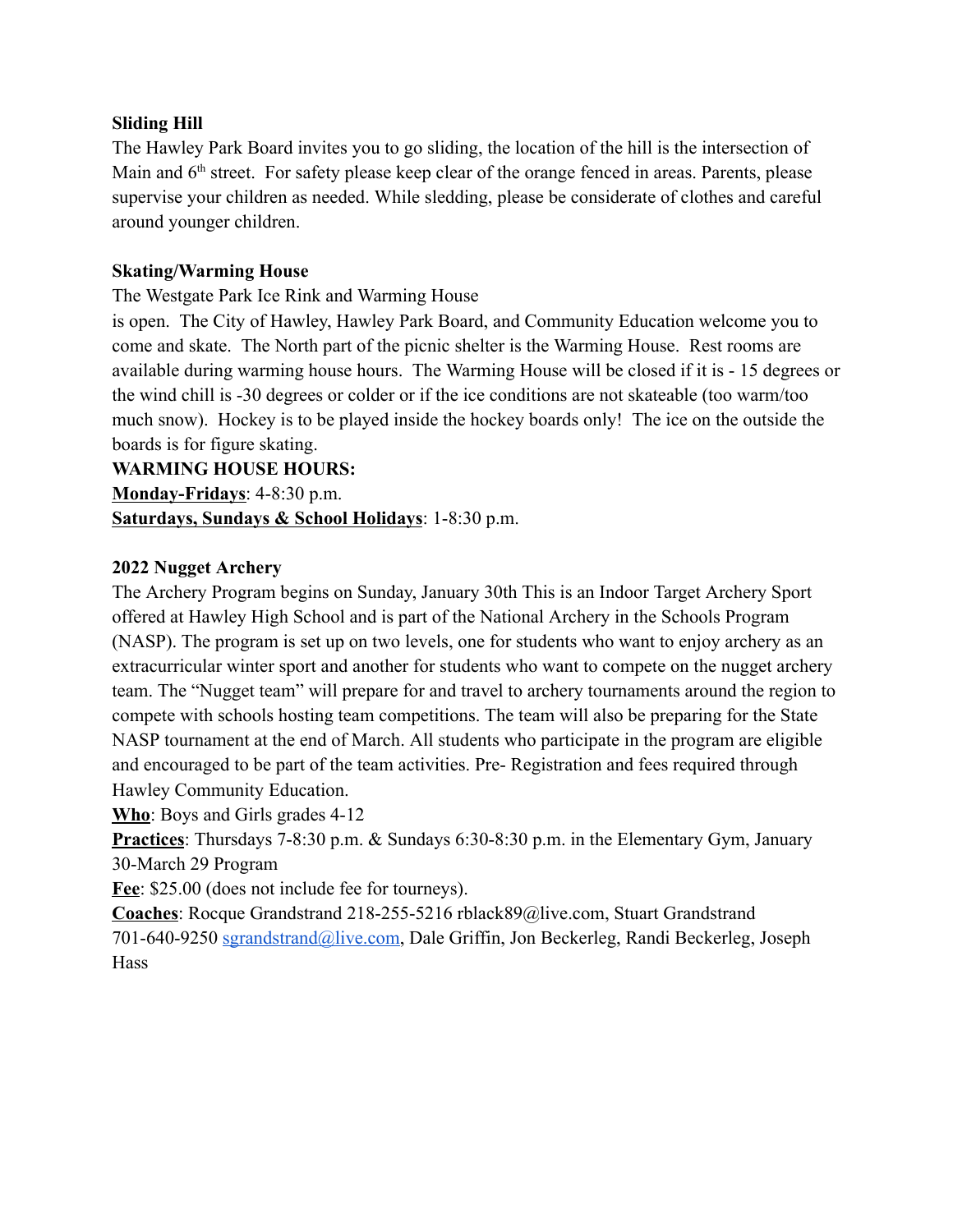#### **Sliding Hill**

The Hawley Park Board invites you to go sliding, the location of the hill is the intersection of Main and 6<sup>th</sup> street. For safety please keep clear of the orange fenced in areas. Parents, please supervise your children as needed. While sledding, please be considerate of clothes and careful around younger children.

#### **Skating/Warming House**

The Westgate Park Ice Rink and Warming House

is open. The City of Hawley, Hawley Park Board, and Community Education welcome you to come and skate. The North part of the picnic shelter is the Warming House. Rest rooms are available during warming house hours. The Warming House will be closed if it is - 15 degrees or the wind chill is -30 degrees or colder or if the ice conditions are not skateable (too warm/too much snow). Hockey is to be played inside the hockey boards only! The ice on the outside the boards is for figure skating.

### **WARMING HOUSE HOURS:**

**Monday-Fridays**: 4-8:30 p.m. **Saturdays, Sundays & School Holidays**: 1-8:30 p.m.

#### **2022 Nugget Archery**

The Archery Program begins on Sunday, January 30th This is an Indoor Target Archery Sport offered at Hawley High School and is part of the National Archery in the Schools Program (NASP). The program is set up on two levels, one for students who want to enjoy archery as an extracurricular winter sport and another for students who want to compete on the nugget archery team. The "Nugget team" will prepare for and travel to archery tournaments around the region to compete with schools hosting team competitions. The team will also be preparing for the State NASP tournament at the end of March. All students who participate in the program are eligible and encouraged to be part of the team activities. Pre- Registration and fees required through Hawley Community Education.

**Who**: Boys and Girls grades 4-12

**Practices**: Thursdays 7-8:30 p.m. & Sundays 6:30-8:30 p.m. in the Elementary Gym, January 30-March 29 Program

**Fee**: \$25.00 (does not include fee for tourneys).

**Coaches**: Rocque Grandstrand 218-255-5216 rblack89@live.com, Stuart Grandstrand 701-640-9250 [sgrandstrand@live.com](mailto:sgrandstrand@live.com), Dale Griffin, Jon Beckerleg, Randi Beckerleg, Joseph **Hass**